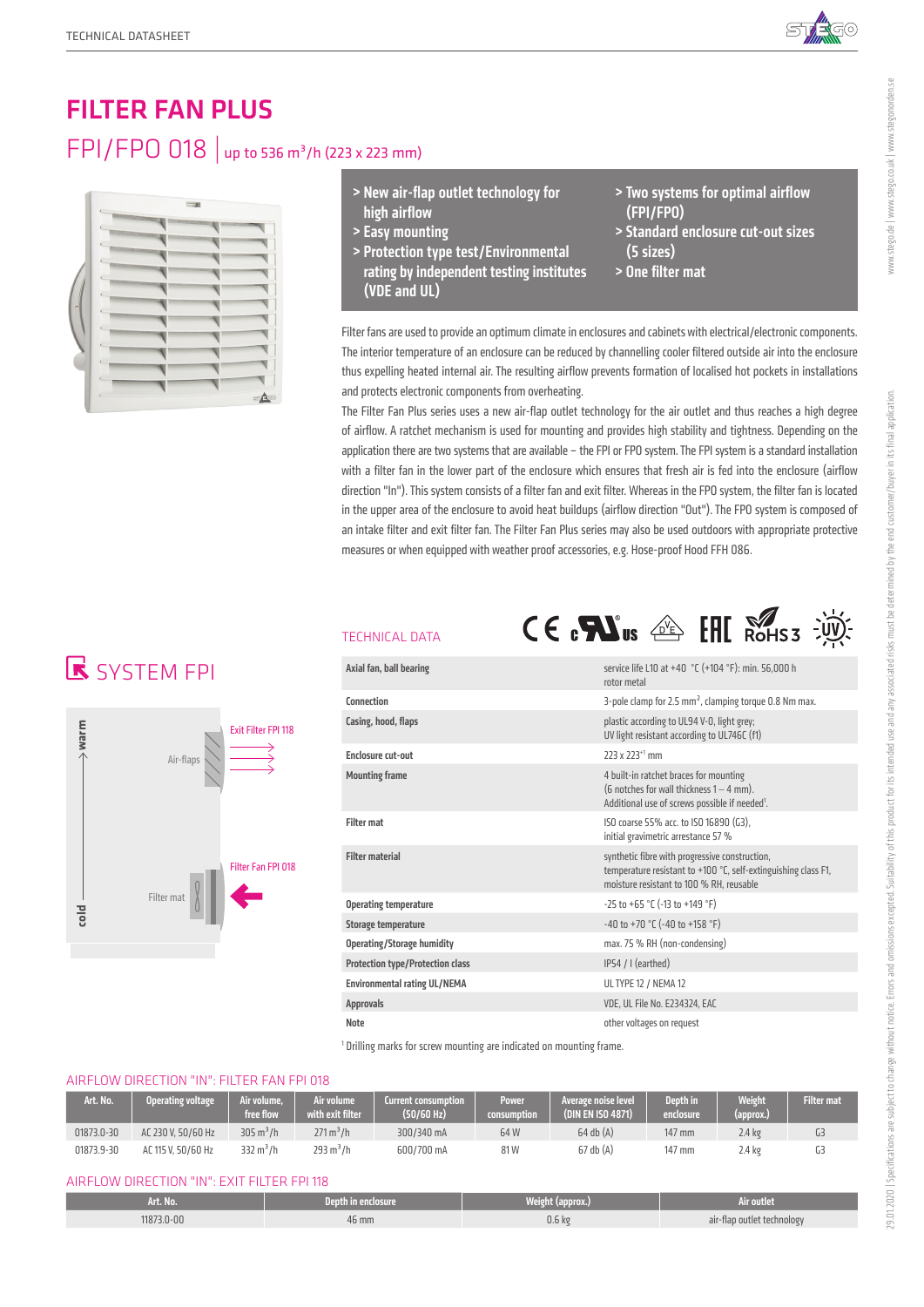

# FILTER FAN PLUS FPI/FPO 018 | up to 536 m<sup>3</sup>/h (223 x 223 mm)



- > New air-flap outlet technology for high airflow
- > Easy mounting
- > Protection type test/Environmental rating by independent testing institutes (VDE and UL)
- > Two systems for optimal airflow (FPI/FPO)
- > Standard enclosure cut-out sizes (5 sizes)
- > One filter mat

Filter fans are used to provide an optimum climate in enclosures and cabinets with electrical/electronic components. The interior temperature of an enclosure can be reduced by channelling cooler filtered outside air into the enclosure thus expelling heated internal air. The resulting airflow prevents formation of localised hot pockets in installations and protects electronic components from overheating.

The Filter Fan Plus series uses a new air-flap outlet technology for the air outlet and thus reaches a high degree of airflow. A ratchet mechanism is used for mounting and provides high stability and tightness. Depending on the application there are two systems that are available – the FPI or FPO system. The FPI system is a standard installation with a filter fan in the lower part of the enclosure which ensures that fresh air is fed into the enclosure (airflow direction "In"). This system consists of a filter fan and exit filter. Whereas in the FPO system, the filter fan is located in the upper area of the enclosure to avoid heat buildups (airflow direction "Out"). The FPO system is composed of an intake filter and exit filter fan. The Filter Fan Plus series may also be used outdoors with appropriate protective measures or when equipped with weather proof accessories, e.g. Hose-proof Hood FFH 086.

# **R** SYSTEM FPI



### TECHNICAL DATA



<sup>1</sup> Drilling marks for screw mounting are indicated on mounting frame.

### AIRFLOW DIRECTION "IN": FILTER FAN FPI 018

| Art. No.   | <b>Operating voltage</b> | Air volume.<br>free flow. | Air volume<br>with exit filter. | <b>Current consumption</b><br>(50/60 Hz) | <b>Power</b><br>consumption' | Average noise level<br>(DIN EN ISO 4871) | <b>Depth</b> in<br>enclosure | <b>Weight</b><br>(approx.) | <b>Filter mat</b> |
|------------|--------------------------|---------------------------|---------------------------------|------------------------------------------|------------------------------|------------------------------------------|------------------------------|----------------------------|-------------------|
| 01873.0-30 | AC 230 V. 50/60 Hz       | $305 \text{ m}^3/h$       | $271 \text{ m}^3/h$             | 300/340 mA                               | 64W                          | $64$ db $(A)$                            | 147 mm                       | $2.4 \text{ kg}$           |                   |
| 01873.9-30 | AC 115 V, 50/60 Hz       | 332 $m^3/h$               | 293 m <sup>3</sup> /h           | 600/700 mA                               | 81W                          | $67$ db $(A)$                            | 147 mm                       | $2.4 \text{ kg}$           |                   |

#### AIRFLOW DIRECTION "IN": EXIT FILTER FPI 118

| Art. No.  | Depth in enclosure. | Weight (<br>$\blacksquare$ | Air outlet                           |
|-----------|---------------------|----------------------------|--------------------------------------|
| 1873.0-00 | $46 \text{ mm}$     | 0.6 <sub>k</sub>           | air-flap outlet technology<br>$\sim$ |